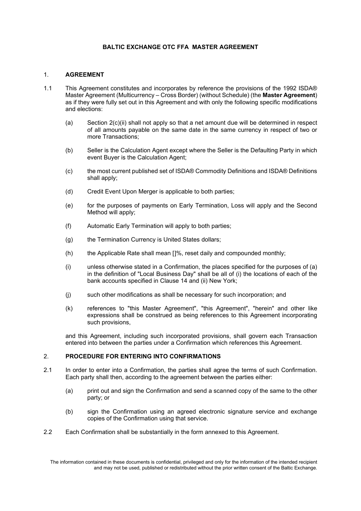# **BALTIC EXCHANGE OTC FFA MASTER AGREEMENT**

# 1. **AGREEMENT**

- 1.1 This Agreement constitutes and incorporates by reference the provisions of the 1992 ISDA® Master Agreement (Multicurrency – Cross Border) (without Schedule) (the **Master Agreement**) as if they were fully set out in this Agreement and with only the following specific modifications and elections:
	- (a) Section 2(c)(ii) shall not apply so that a net amount due will be determined in respect of all amounts payable on the same date in the same currency in respect of two or more Transactions;
	- (b) Seller is the Calculation Agent except where the Seller is the Defaulting Party in which event Buyer is the Calculation Agent;
	- (c) the most current published set of ISDA® Commodity Definitions and ISDA® Definitions shall apply;
	- (d) Credit Event Upon Merger is applicable to both parties;
	- (e) for the purposes of payments on Early Termination, Loss will apply and the Second Method will apply;
	- (f) Automatic Early Termination will apply to both parties;
	- (g) the Termination Currency is United States dollars;
	- (h) the Applicable Rate shall mean []%, reset daily and compounded monthly;
	- (i) unless otherwise stated in a Confirmation, the places specified for the purposes of (a) in the definition of "Local Business Day" shall be all of (i) the locations of each of the bank accounts specified in Clause 14 and (ii) New York;
	- (j) such other modifications as shall be necessary for such incorporation; and
	- (k) references to "this Master Agreement", "this Agreement", "herein" and other like expressions shall be construed as being references to this Agreement incorporating such provisions,

and this Agreement, including such incorporated provisions, shall govern each Transaction entered into between the parties under a Confirmation which references this Agreement.

# 2. **PROCEDURE FOR ENTERING INTO CONFIRMATIONS**

- 2.1 In order to enter into a Confirmation, the parties shall agree the terms of such Confirmation. Each party shall then, according to the agreement between the parties either:
	- (a) print out and sign the Confirmation and send a scanned copy of the same to the other party; or
	- (b) sign the Confirmation using an agreed electronic signature service and exchange copies of the Confirmation using that service.
- 2.2 Each Confirmation shall be substantially in the form annexed to this Agreement.

The information contained in these documents is confidential, privileged and only for the information of the intended recipient and may not be used, published or redistributed without the prior written consent of the Baltic Exchange.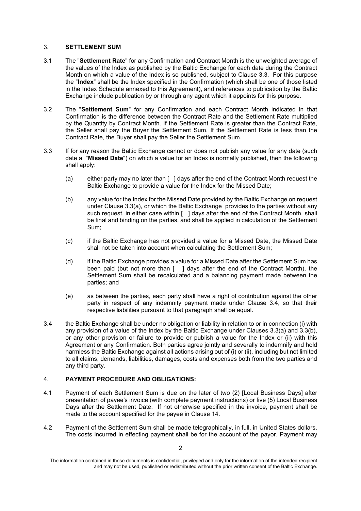# 3. **SETTLEMENT SUM**

- 3.1 The "**Settlement Rate**" for any Confirmation and Contract Month is the unweighted average of the values of the Index as published by the Baltic Exchange for each date during the Contract Month on which a value of the Index is so published, subject to Clause [3.3.](#page-1-0) For this purpose the "**Index**" shall be the Index specified in the Confirmation (which shall be one of those listed in the Index Schedule annexed to this Agreement), and references to publication by the Baltic Exchange include publication by or through any agent which it appoints for this purpose.
- 3.2 The "**Settlement Sum**" for any Confirmation and each Contract Month indicated in that Confirmation is the difference between the Contract Rate and the Settlement Rate multiplied by the Quantity by Contract Month. If the Settlement Rate is greater than the Contract Rate, the Seller shall pay the Buyer the Settlement Sum. If the Settlement Rate is less than the Contract Rate, the Buyer shall pay the Seller the Settlement Sum.
- <span id="page-1-1"></span><span id="page-1-0"></span>3.3 If for any reason the Baltic Exchange cannot or does not publish any value for any date (such date a "**Missed Date**") on which a value for an Index is normally published, then the following shall apply:
	- (a) either party may no later than [ ] days after the end of the Contract Month request the Baltic Exchange to provide a value for the Index for the Missed Date;
	- (b) any value for the Index for the Missed Date provided by the Baltic Exchange on request under Clause [3.3\(a\),](#page-1-1) or which the Baltic Exchange provides to the parties without any such request, in either case within [ ] days after the end of the Contract Month, shall be final and binding on the parties, and shall be applied in calculation of the Settlement Sum;
	- (c) if the Baltic Exchange has not provided a value for a Missed Date, the Missed Date shall not be taken into account when calculating the Settlement Sum;
	- (d) if the Baltic Exchange provides a value for a Missed Date after the Settlement Sum has been paid (but not more than [ ] days after the end of the Contract Month), the Settlement Sum shall be recalculated and a balancing payment made between the parties; and
	- (e) as between the parties, each party shall have a right of contribution against the other party in respect of any indemnity payment made under Clause [3.4,](#page-1-2) so that their respective liabilities pursuant to that paragraph shall be equal.
- <span id="page-1-2"></span>3.4 the Baltic Exchange shall be under no obligation or liability in relation to or in connection (i) with any provision of a value of the Index by the Baltic Exchange under Clauses 3.3(a) and 3.3(b), or any other provision or failure to provide or publish a value for the Index or (ii) with this Agreement or any Confirmation. Both parties agree jointly and severally to indemnify and hold harmless the Baltic Exchange against all actions arising out of (i) or (ii), including but not limited to all claims, demands, liabilities, damages, costs and expenses both from the two parties and any third party.

# 4. **PAYMENT PROCEDURE AND OBLIGATIONS:**

- 4.1 Payment of each Settlement Sum is due on the later of two (2) [Local Business Days] after presentation of payee's invoice (with complete payment instructions) or five (5) Local Business Days after the Settlement Date. If not otherwise specified in the invoice, payment shall be made to the account specified for the payee in Clause [14.](#page-3-0)
- 4.2 Payment of the Settlement Sum shall be made telegraphically, in full, in United States dollars. The costs incurred in effecting payment shall be for the account of the payor. Payment may

The information contained in these documents is confidential, privileged and only for the information of the intended recipient and may not be used, published or redistributed without the prior written consent of the Baltic Exchange.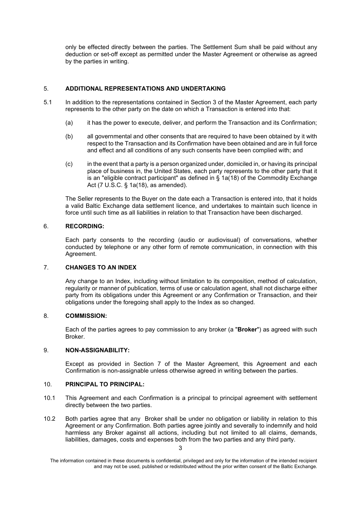only be effected directly between the parties. The Settlement Sum shall be paid without any deduction or set-off except as permitted under the Master Agreement or otherwise as agreed by the parties in writing.

# 5. **ADDITIONAL REPRESENTATIONS AND UNDERTAKING**

- 5.1 In addition to the representations contained in Section 3 of the Master Agreement, each party represents to the other party on the date on which a Transaction is entered into that:
	- (a) it has the power to execute, deliver, and perform the Transaction and its Confirmation;
	- (b) all governmental and other consents that are required to have been obtained by it with respect to the Transaction and its Confirmation have been obtained and are in full force and effect and all conditions of any such consents have been complied with; and
	- (c) in the event that a party is a person organized under, domiciled in, or having its principal place of business in, the United States, each party represents to the other party that it is an "eligible contract participant" as defined in  $\S$  1a(18) of the Commodity Exchange Act (7 U.S.C. § 1a(18), as amended).

The Seller represents to the Buyer on the date each a Transaction is entered into, that it holds a valid Baltic Exchange data settlement licence, and undertakes to maintain such licence in force until such time as all liabilities in relation to that Transaction have been discharged.

### 6. **RECORDING:**

Each party consents to the recording (audio or audiovisual) of conversations, whether conducted by telephone or any other form of remote communication, in connection with this Agreement.

### 7. **CHANGES TO AN INDEX**

Any change to an Index, including without limitation to its composition, method of calculation, regularity or manner of publication, terms of use or calculation agent, shall not discharge either party from its obligations under this Agreement or any Confirmation or Transaction, and their obligations under the foregoing shall apply to the Index as so changed.

### <span id="page-2-0"></span>8. **COMMISSION:**

Each of the parties agrees to pay commission to any broker (a "**Broker**") as agreed with such Broker.

## 9. **NON-ASSIGNABILITY:**

Except as provided in Section 7 of the Master Agreement, this Agreement and each Confirmation is non-assignable unless otherwise agreed in writing between the parties.

### 10. **PRINCIPAL TO PRINCIPAL:**

- 10.1 This Agreement and each Confirmation is a principal to principal agreement with settlement directly between the two parties.
- 10.2 Both parties agree that any Broker shall be under no obligation or liability in relation to this Agreement or any Confirmation. Both parties agree jointly and severally to indemnify and hold harmless any Broker against all actions, including but not limited to all claims, demands, liabilities, damages, costs and expenses both from the two parties and any third party.

The information contained in these documents is confidential, privileged and only for the information of the intended recipient and may not be used, published or redistributed without the prior written consent of the Baltic Exchange.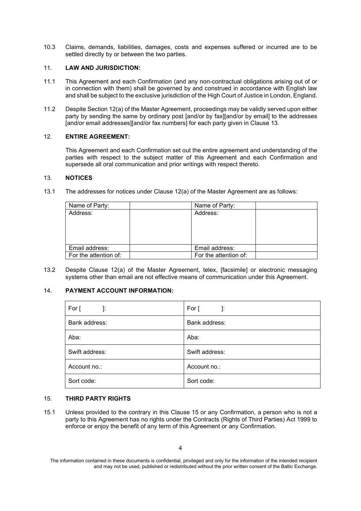10.3 Claims, demands, liabilities, damages, costs and expenses suffered or incurred are to be settled directly by or between the two parties.

### 11. **LAW AND JURISDICTION:**

- 11.1 This Agreement and each Confirmation (and any non-contractual obligations arising out of or in connection with them) shall be governed by and construed in accordance with English law and shall be subject to the exclusive jurisdiction of the High Court of Justice in London, England.
- 11.2 Despite Section 12(a) of the Master Agreement, proceedings may be validly served upon either party by sending the same by ordinary post [and/or by fax][and/or by email] to the addresses [and/or email addresses][and/or fax numbers] for each party given in Clause [13.](#page-3-1)

# 12. **ENTIRE AGREEMENT:**

This Agreement and each Confirmation set out the entire agreement and understanding of the parties with respect to the subject matter of this Agreement and each Confirmation and supersede all oral communication and prior writings with respect thereto.

### <span id="page-3-1"></span>13. **NOTICES**

13.1 The addresses for notices under Clause 12(a) of the Master Agreement are as follows:

| Name of Party:        | Name of Party:        |
|-----------------------|-----------------------|
| Address:              | Address:              |
|                       |                       |
|                       |                       |
|                       |                       |
|                       |                       |
| Email address:        | Email address:        |
| For the attention of: | For the attention of: |

13.2 Despite Clause 12(a) of the Master Agreement, telex, [facsimile] or electronic messaging systems other than email are not effective means of communication under this Agreement.

## <span id="page-3-0"></span>14. **PAYMENT ACCOUNT INFORMATION:**

| For $\lceil$<br>$\Box$ | For $\lceil$<br>$\sim 10$ |
|------------------------|---------------------------|
| Bank address:          | Bank address:             |
| Aba:                   | Aba:                      |
| Swift address:         | Swift address:            |
| Account no.:           | Account no.:              |
| Sort code:             | Sort code:                |

### 15. **THIRD PARTY RIGHTS**

15.1 Unless provided to the contrary in this Clause 15 or any Confirmation, a person who is not a party to this Agreement has no rights under the Contracts (Rights of Third Parties) Act 1999 to enforce or enjoy the benefit of any term of this Agreement or any Confirmation.

The information contained in these documents is confidential, privileged and only for the information of the intended recipient and may not be used, published or redistributed without the prior written consent of the Baltic Exchange.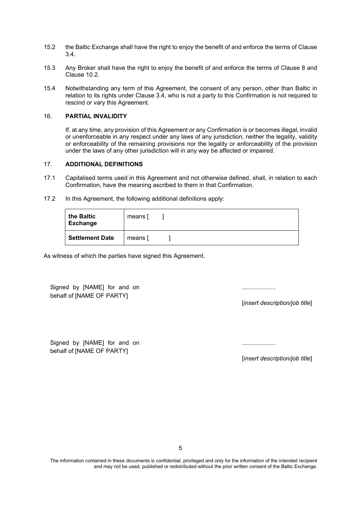- 15.2 the Baltic Exchange shall have the right to enjoy the benefit of and enforce the terms of Clause [3.4.](#page-1-2)
- 15.3 Any Broker shall have the right to enjoy the benefit of and enforce the terms of Clause [8](#page-2-0) and Clause 10.2.
- 15.4 Notwithstanding any term of this Agreement, the consent of any person, other than Baltic in relation to its rights under Clause [3.4,](#page-1-2) who is not a party to this Confirmation is not required to rescind or vary this Agreement.

## 16. **PARTIAL INVALIDITY**

If, at any time, any provision of this Agreement or any Confirmation is or becomes illegal, invalid or unenforceable in any respect under any laws of any jurisdiction, neither the legality, validity or enforceability of the remaining provisions nor the legality or enforceability of the provision under the laws of any other jurisdiction will in any way be affected or impaired.

## 17. **ADDITIONAL DEFINITIONS**

- 17.1 Capitalised terms used in this Agreement and not otherwise defined, shall, in relation to each Confirmation, have the meaning ascribed to them in that Confirmation.
- 17.2 In this Agreement, the following additional definitions apply:

| the Baltic<br><b>Exchange</b> | means [ |  |
|-------------------------------|---------|--|
| <b>Settlement Date</b>        | means   |  |

As witness of which the parties have signed this Agreement.

Signed by [NAME] for and on behalf of [NAME OF PARTY]

....................

....................

[*insert description/job title*]

Signed by [NAME] for and on behalf of [NAME OF PARTY]

[*insert description/job title*]

The information contained in these documents is confidential, privileged and only for the information of the intended recipient and may not be used, published or redistributed without the prior written consent of the Baltic Exchange.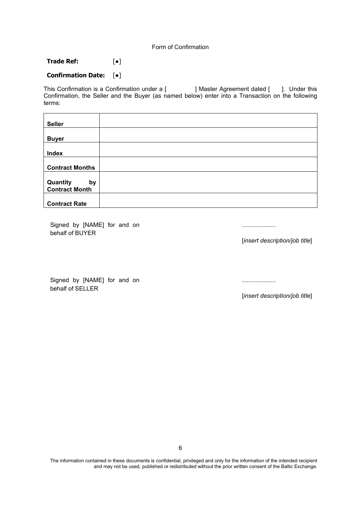Form of Confirmation

**Trade Ref:** [●]

#### **Confirmation Date:** [●]

This Confirmation is a Confirmation under a [ ] Master Agreement dated [ ]. Under this Confirmation, the Seller and the Buyer (as named below) enter into a Transaction on the following terms:

| <b>Seller</b>          |  |
|------------------------|--|
|                        |  |
| <b>Buyer</b>           |  |
|                        |  |
| <b>Index</b>           |  |
|                        |  |
| <b>Contract Months</b> |  |
|                        |  |
| Quantity<br>by         |  |
| <b>Contract Month</b>  |  |
|                        |  |
| <b>Contract Rate</b>   |  |

Signed by [NAME] for and on behalf of BUYER

Signed by [NAME] for and on behalf of SELLER

....................

....................

[*insert description/job title*]

[*insert description/job title*]

The information contained in these documents is confidential, privileged and only for the information of the intended recipient and may not be used, published or redistributed without the prior written consent of the Baltic Exchange.